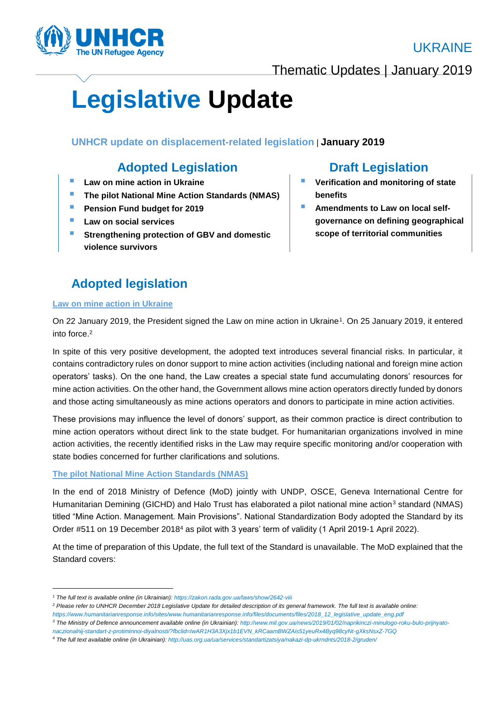



Thematic Updates | January 2019

# **Legislative Update**

**UNHCR update on displacement-related legislation** | **January 2019**

# **Adopted Legislation Draft Legislation**

- **Law on mine action in Ukraine**
- **The pilot National Mine Action Standards (NMAS)**
- **Pension Fund budget for 2019**
- **Law on social services**
- **Strengthening protection of GBV and domestic violence survivors**

# **Adopted legislation**

#### **Law on mine action in Ukraine**

1

## On 22 January 2019, the President signed the Law on mine action in Ukraine<sup>1</sup>. On 25 January 2019, it entered into force.<sup>2</sup>

In spite of this very positive development, the adopted text introduces several financial risks. In particular, it contains contradictory rules on donor support to mine action activities (including national and foreign mine action operators' tasks). On the one hand, the Law creates a special state fund accumulating donors' resources for mine action activities. On the other hand, the Government allows mine action operators directly funded by donors and those acting simultaneously as mine actions operators and donors to participate in mine action activities.

These provisions may influence the level of donors' support, as their common practice is direct contribution to mine action operators without direct link to the state budget. For humanitarian organizations involved in mine action activities, the recently identified risks in the Law may require specific monitoring and/or cooperation with state bodies concerned for further clarifications and solutions.

### **The pilot National Mine Action Standards (NMAS)**

In the end of 2018 Ministry of Defence (MoD) jointly with UNDP, OSCE, Geneva International Centre for Humanitarian Demining (GICHD) and Halo Trust has elaborated a pilot national mine action<sup>3</sup> standard (NMAS) titled "Mine Action. Management. Main Provisions". National Standardization Body adopted the Standard by its Order #511 on 19 December 2018<sup>4</sup> as pilot with 3 years' term of validity (1 April 2019-1 April 2022).

At the time of preparation of this Update, the full text of the Standard is unavailable. The MoD explained that the Standard covers:

- **Verification and monitoring of state benefits**
- **E** Amendments to Law on local self**governance on defining geographical scope of territorial communities**

*<sup>1</sup> The full text is available online (in Ukrainian): <https://zakon.rada.gov.ua/laws/show/2642-viii>*

*<sup>2</sup> Please refer to UNHCR December 2018 Legislative Update for detailed description of its general framework. The full text is available online: [https://www.humanitarianresponse.info/sites/www.humanitarianresponse.info/files/documents/files/2018\\_12\\_legislative\\_update\\_eng.pdf](https://www.humanitarianresponse.info/sites/www.humanitarianresponse.info/files/documents/files/2018_12_legislative_update_eng.pdf)*

*<sup>3</sup> The Ministry of Defence announcement available online (in Ukrainian)[: http://www.mil.gov.ua/news/2019/01/02/naprikinczi-minulogo-roku-bulo-prijnyato-](http://www.mil.gov.ua/news/2019/01/02/naprikinczi-minulogo-roku-bulo-prijnyato-naczionalnij-standart-z-protiminnoi-diyalnosti/?fbclid=IwAR1H3A3Xjx1b1EVN_kRCaamBWZAis51yeuRx4Byq98cyNt-gXksNsxZ-7GQ)*

*[naczionalnij-standart-z-protiminnoi-diyalnosti/?fbclid=IwAR1H3A3Xjx1b1EVN\\_kRCaamBWZAis51yeuRx4Byq98cyNt-gXksNsxZ-7GQ](http://www.mil.gov.ua/news/2019/01/02/naprikinczi-minulogo-roku-bulo-prijnyato-naczionalnij-standart-z-protiminnoi-diyalnosti/?fbclid=IwAR1H3A3Xjx1b1EVN_kRCaamBWZAis51yeuRx4Byq98cyNt-gXksNsxZ-7GQ)*

*<sup>4</sup> The full text available online (in Ukrainian)[: http://uas.org.ua/ua/services/standartizatsiya/nakazi-dp-ukrndnts/2018-2/gruden/](http://uas.org.ua/ua/services/standartizatsiya/nakazi-dp-ukrndnts/2018-2/gruden/)*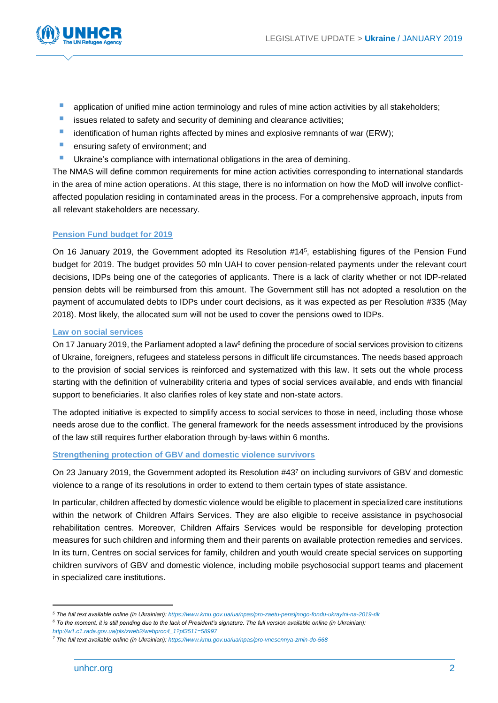

- application of unified mine action terminology and rules of mine action activities by all stakeholders;
- **EXECUTE:** issues related to safety and security of demining and clearance activities;
- $\blacksquare$  identification of human rights affected by mines and explosive remnants of war (ERW);
- **E** ensuring safety of environment: and
- **Ukraine's compliance with international obligations in the area of demining.**

The NMAS will define common requirements for mine action activities corresponding to international standards in the area of mine action operations. At this stage, there is no information on how the MoD will involve conflictaffected population residing in contaminated areas in the process. For a comprehensive approach, inputs from all relevant stakeholders are necessary.

#### **Pension Fund budget for 2019**

On 16 January 2019, the Government adopted its Resolution #14<sup>5</sup> , establishing figures of the Pension Fund budget for 2019. The budget provides 50 mln UAH to cover pension-related payments under the relevant court decisions, IDPs being one of the categories of applicants. There is a lack of clarity whether or not IDP-related pension debts will be reimbursed from this amount. The Government still has not adopted a resolution on the payment of accumulated debts to IDPs under court decisions, as it was expected as per Resolution #335 (May 2018). Most likely, the allocated sum will not be used to cover the pensions owed to IDPs.

#### **Law on social services**

On 17 January 2019, the Parliament adopted a law<sup>6</sup> defining the procedure of social services provision to citizens of Ukraine, foreigners, refugees and stateless persons in difficult life circumstances. The needs based approach to the provision of social services is reinforced and systematized with this law. It sets out the whole process starting with the definition of vulnerability criteria and types of social services available, and ends with financial support to beneficiaries. It also clarifies roles of key state and non-state actors.

The adopted initiative is expected to simplify access to social services to those in need, including those whose needs arose due to the conflict. The general framework for the needs assessment introduced by the provisions of the law still requires further elaboration through by-laws within 6 months.

#### **Strengthening protection of GBV and domestic violence survivors**

On 23 January 2019, the Government adopted its Resolution #43<sup>7</sup> on including survivors of GBV and domestic violence to a range of its resolutions in order to extend to them certain types of state assistance.

In particular, children affected by domestic violence would be eligible to placement in specialized care institutions within the network of Children Affairs Services. They are also eligible to receive assistance in psychosocial rehabilitation centres. Moreover, Children Affairs Services would be responsible for developing protection measures for such children and informing them and their parents on available protection remedies and services. In its turn, Centres on social services for family, children and youth would create special services on supporting children survivors of GBV and domestic violence, including mobile psychosocial support teams and placement in specialized care institutions.

**.** 

*<sup>5</sup> The full text available online (in Ukrainian)[: https://www.kmu.gov.ua/ua/npas/pro-zaetu-pensijnogo-fondu-ukrayini-na-2019-rik](https://www.kmu.gov.ua/ua/npas/pro-zaetu-pensijnogo-fondu-ukrayini-na-2019-rik)*

*<sup>6</sup> To the moment, it is still pending due to the lack of President's signature. The full version available online (in Ukrainian):* 

*[http://w1.c1.rada.gov.ua/pls/zweb2/webproc4\\_1?pf3511=58997](http://w1.c1.rada.gov.ua/pls/zweb2/webproc4_1?pf3511=58997)*

*<sup>7</sup> The full text available online (in Ukrainian): <https://www.kmu.gov.ua/ua/npas/pro-vnesennya-zmin-do-568>*